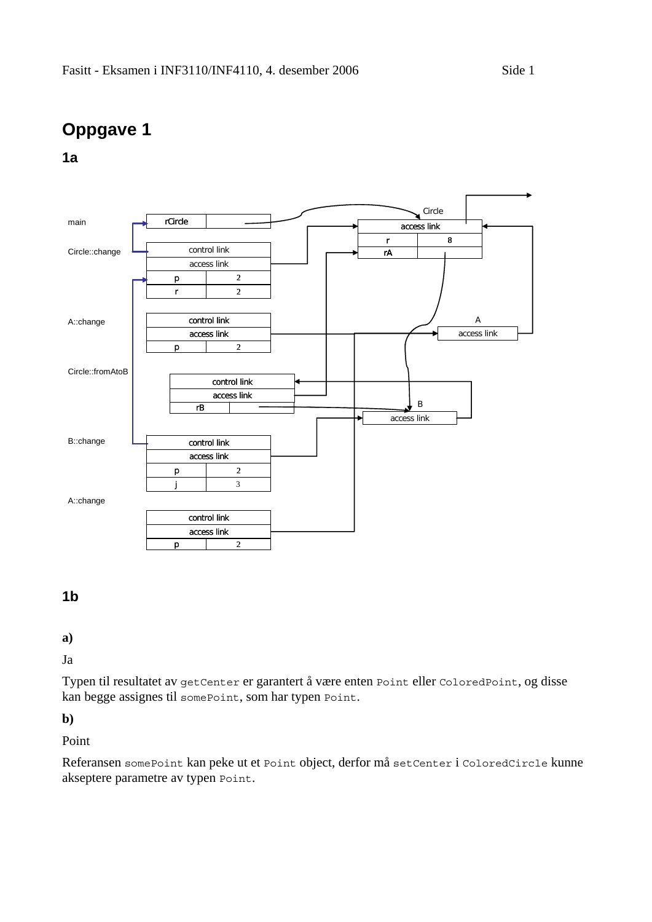# **Oppgave 1**

**1a** 



### **1b**

**a)** 

Ja

Typen til resultatet av getCenter er garantert å være enten Point eller ColoredPoint, og disse kan begge assignes til somePoint, som har typen Point.

**b)** 

Point

Referansen somePoint kan peke ut et Point object, derfor må setCenter i ColoredCircle kunne akseptere parametre av typen Point.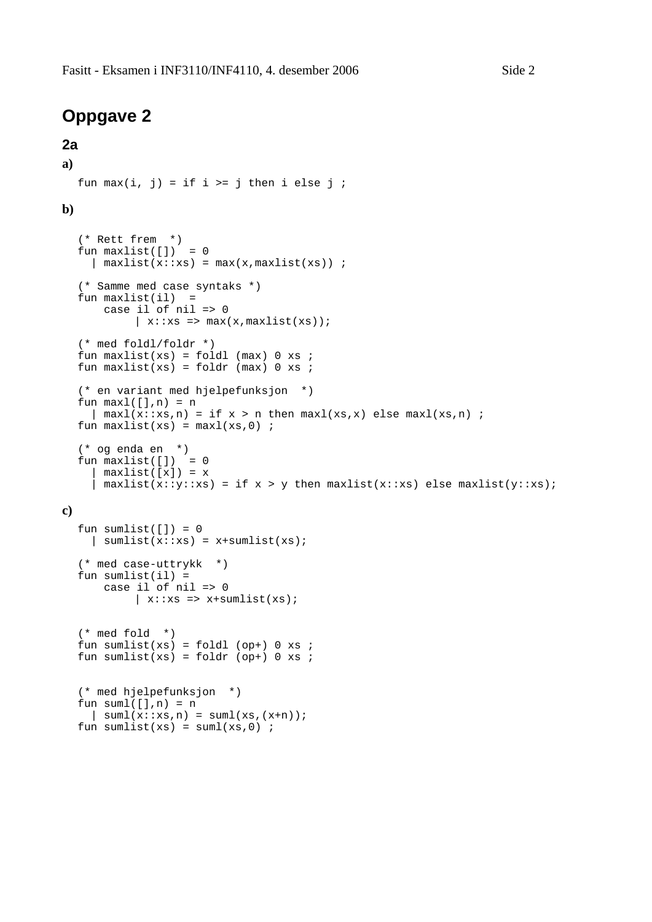### **Oppgave 2**

#### **2a**

```
a) 
  fun max(i, j) = if i \ge j then i else j;
b) 
  (* Rett frem *) 
  fun maxlist([]) = 0\int maxlist(x::xs) = max(x,maxlist(xs)) ;
  (* Samme med case syntaks *) 
  fun maxlist(i1) = case il of nil => 0 
           \vert x:txs \Rightarrow max(x,maxlist(xs));(* med foldl/foldr *) 
  fun maxlist(xs) = fold (max) 0 xs;
  fun maxlist(xs) = foldr (max) 0 xs ;
  (* en variant med hjelpefunksjon *) 
  fun maxl([], n) = n\int \maxl(x:ixs,n) = if x > n then maxl(xs,x) else maxl(xs,n) ;
  fun maxlist(xs) = maxl(xs, 0) ;
  (* og enda en *) 
  fun maxlist([]) = 0maxlist([x]) = x| maxlist(x::y::xs) = if x > y then maxlist(x::xs) else maxlist(y::xs);
c) 
  fun sumlist([]) = 0\int sumlist(x::xs) = x+sumlist(xs);
  (* med case-uttrykk *) 
  fun sumlist(ii) =
       case il of nil => 0 
           \vert x:: xs => x+sumlist(xs);
```

```
(* med fold *) 
fun sumlist(xs) = foldl (op+) 0 xs ;
fun sumlist(xs) = foldr (op+) 0 xs ;
```

```
(* med hjelpefunksjon *) 
fun suml([], n) = n\vert suml(x::x s, n) = suml(xs,(x+n));
fun sumlist(xs) = suml(xs, 0) ;
```